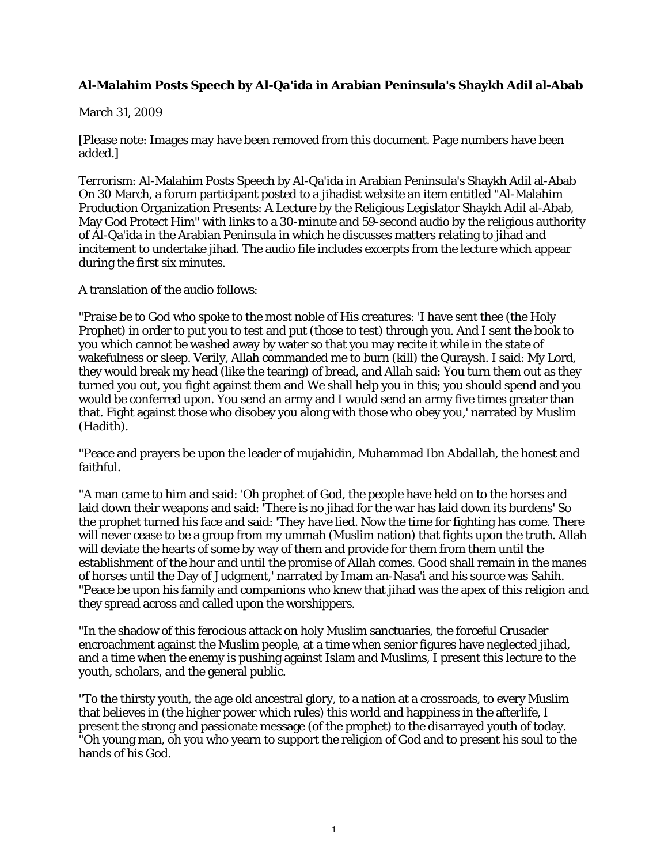## **Al-Malahim Posts Speech by Al-Qa'ida in Arabian Peninsula's Shaykh Adil al-Abab**

## March 31, 2009

[Please note: Images may have been removed from this document. Page numbers have been added.]

Terrorism: Al-Malahim Posts Speech by Al-Qa'ida in Arabian Peninsula's Shaykh Adil al-Abab On 30 March, a forum participant posted to a jihadist website an item entitled "Al-Malahim Production Organization Presents: A Lecture by the Religious Legislator Shaykh Adil al-Abab, May God Protect Him" with links to a 30-minute and 59-second audio by the religious authority of Al-Qa'ida in the Arabian Peninsula in which he discusses matters relating to jihad and incitement to undertake jihad. The audio file includes excerpts from the lecture which appear during the first six minutes.

A translation of the audio follows:

"Praise be to God who spoke to the most noble of His creatures: 'I have sent thee (the Holy Prophet) in order to put you to test and put (those to test) through you. And I sent the book to you which cannot be washed away by water so that you may recite it while in the state of wakefulness or sleep. Verily, Allah commanded me to burn (kill) the Quraysh. I said: My Lord, they would break my head (like the tearing) of bread, and Allah said: You turn them out as they turned you out, you fight against them and We shall help you in this; you should spend and you would be conferred upon. You send an army and I would send an army five times greater than that. Fight against those who disobey you along with those who obey you,' narrated by Muslim (Hadith).

"Peace and prayers be upon the leader of mujahidin, Muhammad Ibn Abdallah, the honest and faithful.

"A man came to him and said: 'Oh prophet of God, the people have held on to the horses and laid down their weapons and said: 'There is no jihad for the war has laid down its burdens' So the prophet turned his face and said: 'They have lied. Now the time for fighting has come. There will never cease to be a group from my ummah (Muslim nation) that fights upon the truth. Allah will deviate the hearts of some by way of them and provide for them from them until the establishment of the hour and until the promise of Allah comes. Good shall remain in the manes of horses until the Day of Judgment,' narrated by Imam an-Nasa'i and his source was Sahih. "Peace be upon his family and companions who knew that jihad was the apex of this religion and they spread across and called upon the worshippers.

"In the shadow of this ferocious attack on holy Muslim sanctuaries, the forceful Crusader encroachment against the Muslim people, at a time when senior figures have neglected jihad, and a time when the enemy is pushing against Islam and Muslims, I present this lecture to the youth, scholars, and the general public.

"To the thirsty youth, the age old ancestral glory, to a nation at a crossroads, to every Muslim that believes in (the higher power which rules) this world and happiness in the afterlife, I present the strong and passionate message (of the prophet) to the disarrayed youth of today. "Oh young man, oh you who yearn to support the religion of God and to present his soul to the hands of his God.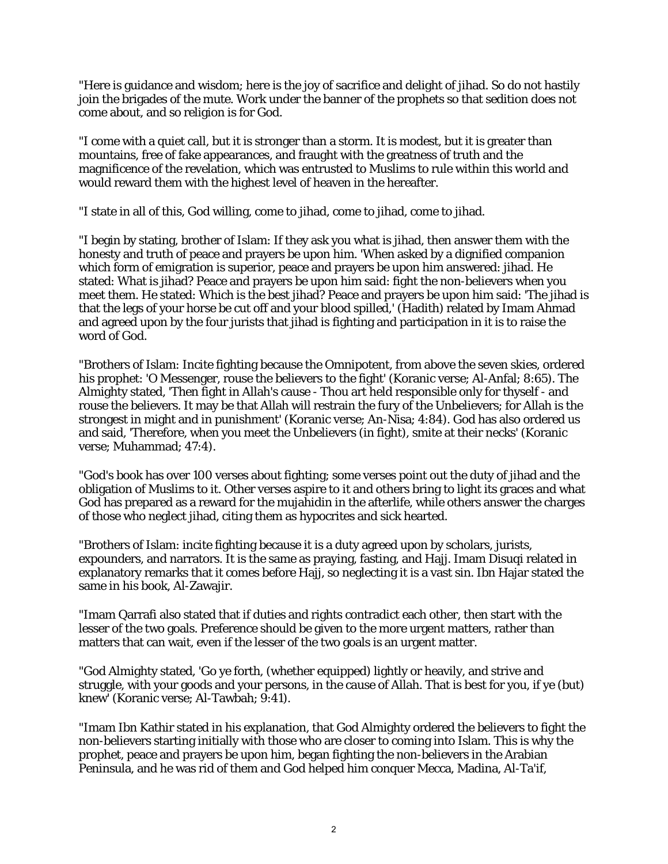"Here is guidance and wisdom; here is the joy of sacrifice and delight of jihad. So do not hastily join the brigades of the mute. Work under the banner of the prophets so that sedition does not come about, and so religion is for God.

"I come with a quiet call, but it is stronger than a storm. It is modest, but it is greater than mountains, free of fake appearances, and fraught with the greatness of truth and the magnificence of the revelation, which was entrusted to Muslims to rule within this world and would reward them with the highest level of heaven in the hereafter.

"I state in all of this, God willing, come to jihad, come to jihad, come to jihad.

"I begin by stating, brother of Islam: If they ask you what is jihad, then answer them with the honesty and truth of peace and prayers be upon him. 'When asked by a dignified companion which form of emigration is superior, peace and prayers be upon him answered: jihad. He stated: What is jihad? Peace and prayers be upon him said: fight the non-believers when you meet them. He stated: Which is the best jihad? Peace and prayers be upon him said: 'The jihad is that the legs of your horse be cut off and your blood spilled,' (Hadith) related by Imam Ahmad and agreed upon by the four jurists that jihad is fighting and participation in it is to raise the word of God.

"Brothers of Islam: Incite fighting because the Omnipotent, from above the seven skies, ordered his prophet: 'O Messenger, rouse the believers to the fight' (Koranic verse; Al-Anfal; 8:65). The Almighty stated, 'Then fight in Allah's cause - Thou art held responsible only for thyself - and rouse the believers. It may be that Allah will restrain the fury of the Unbelievers; for Allah is the strongest in might and in punishment' (Koranic verse; An-Nisa; 4:84). God has also ordered us and said, 'Therefore, when you meet the Unbelievers (in fight), smite at their necks' (Koranic verse; Muhammad; 47:4).

"God's book has over 100 verses about fighting; some verses point out the duty of jihad and the obligation of Muslims to it. Other verses aspire to it and others bring to light its graces and what God has prepared as a reward for the mujahidin in the afterlife, while others answer the charges of those who neglect jihad, citing them as hypocrites and sick hearted.

"Brothers of Islam: incite fighting because it is a duty agreed upon by scholars, jurists, expounders, and narrators. It is the same as praying, fasting, and Hajj. Imam Disuqi related in explanatory remarks that it comes before Hajj, so neglecting it is a vast sin. Ibn Hajar stated the same in his book, Al-Zawajir.

"Imam Qarrafi also stated that if duties and rights contradict each other, then start with the lesser of the two goals. Preference should be given to the more urgent matters, rather than matters that can wait, even if the lesser of the two goals is an urgent matter.

"God Almighty stated, 'Go ye forth, (whether equipped) lightly or heavily, and strive and struggle, with your goods and your persons, in the cause of Allah. That is best for you, if ye (but) knew' (Koranic verse; Al-Tawbah; 9:41).

"Imam Ibn Kathir stated in his explanation, that God Almighty ordered the believers to fight the non-believers starting initially with those who are closer to coming into Islam. This is why the prophet, peace and prayers be upon him, began fighting the non-believers in the Arabian Peninsula, and he was rid of them and God helped him conquer Mecca, Madina, Al-Ta'if,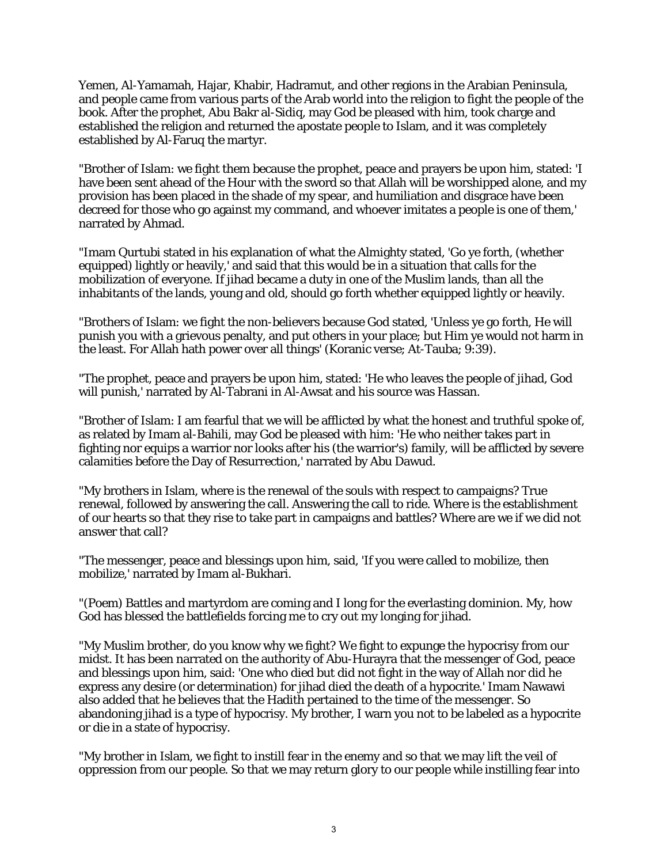Yemen, Al-Yamamah, Hajar, Khabir, Hadramut, and other regions in the Arabian Peninsula, and people came from various parts of the Arab world into the religion to fight the people of the book. After the prophet, Abu Bakr al-Sidiq, may God be pleased with him, took charge and established the religion and returned the apostate people to Islam, and it was completely established by Al-Faruq the martyr.

"Brother of Islam: we fight them because the prophet, peace and prayers be upon him, stated: 'I have been sent ahead of the Hour with the sword so that Allah will be worshipped alone, and my provision has been placed in the shade of my spear, and humiliation and disgrace have been decreed for those who go against my command, and whoever imitates a people is one of them,' narrated by Ahmad.

"Imam Qurtubi stated in his explanation of what the Almighty stated, 'Go ye forth, (whether equipped) lightly or heavily,' and said that this would be in a situation that calls for the mobilization of everyone. If jihad became a duty in one of the Muslim lands, than all the inhabitants of the lands, young and old, should go forth whether equipped lightly or heavily.

"Brothers of Islam: we fight the non-believers because God stated, 'Unless ye go forth, He will punish you with a grievous penalty, and put others in your place; but Him ye would not harm in the least. For Allah hath power over all things' (Koranic verse; At-Tauba; 9:39).

"The prophet, peace and prayers be upon him, stated: 'He who leaves the people of jihad, God will punish,' narrated by Al-Tabrani in Al-Awsat and his source was Hassan.

"Brother of Islam: I am fearful that we will be afflicted by what the honest and truthful spoke of, as related by Imam al-Bahili, may God be pleased with him: 'He who neither takes part in fighting nor equips a warrior nor looks after his (the warrior's) family, will be afflicted by severe calamities before the Day of Resurrection,' narrated by Abu Dawud.

"My brothers in Islam, where is the renewal of the souls with respect to campaigns? True renewal, followed by answering the call. Answering the call to ride. Where is the establishment of our hearts so that they rise to take part in campaigns and battles? Where are we if we did not answer that call?

"The messenger, peace and blessings upon him, said, 'If you were called to mobilize, then mobilize,' narrated by Imam al-Bukhari.

"(Poem) Battles and martyrdom are coming and I long for the everlasting dominion. My, how God has blessed the battlefields forcing me to cry out my longing for jihad.

"My Muslim brother, do you know why we fight? We fight to expunge the hypocrisy from our midst. It has been narrated on the authority of Abu-Hurayra that the messenger of God, peace and blessings upon him, said: 'One who died but did not fight in the way of Allah nor did he express any desire (or determination) for jihad died the death of a hypocrite.' Imam Nawawi also added that he believes that the Hadith pertained to the time of the messenger. So abandoning jihad is a type of hypocrisy. My brother, I warn you not to be labeled as a hypocrite or die in a state of hypocrisy.

"My brother in Islam, we fight to instill fear in the enemy and so that we may lift the veil of oppression from our people. So that we may return glory to our people while instilling fear into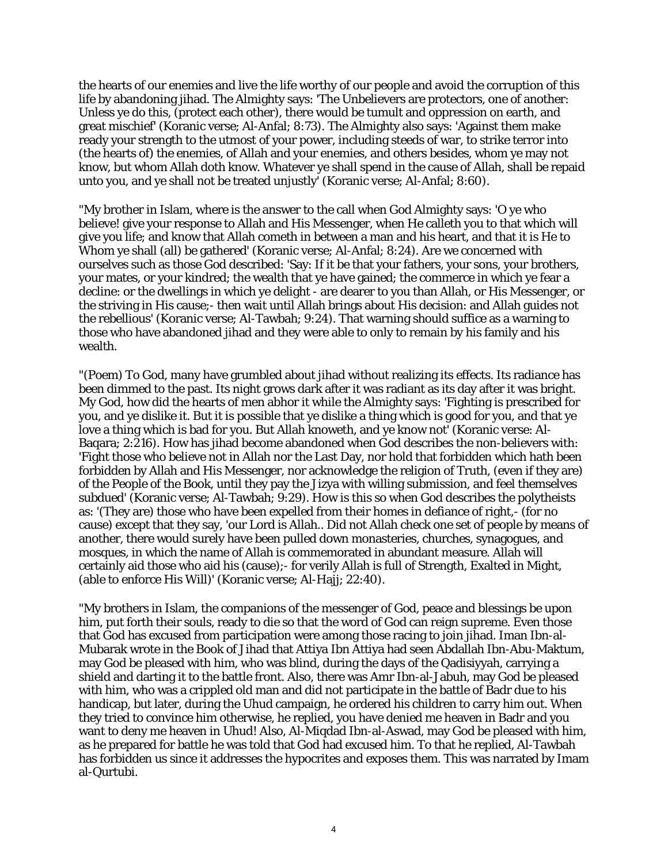the hearts of our enemies and live the life worthy of our people and avoid the corruption of this life by abandoning jihad. The Almighty says: 'The Unbelievers are protectors, one of another: Unless ye do this, (protect each other), there would be tumult and oppression on earth, and great mischief' (Koranic verse; Al-Anfal; 8:73). The Almighty also says: 'Against them make ready your strength to the utmost of your power, including steeds of war, to strike terror into (the hearts of) the enemies, of Allah and your enemies, and others besides, whom ye may not know, but whom Allah doth know. Whatever ye shall spend in the cause of Allah, shall be repaid unto you, and ye shall not be treated unjustly' (Koranic verse; Al-Anfal; 8:60).

"My brother in Islam, where is the answer to the call when God Almighty says: 'O ye who believe! give your response to Allah and His Messenger, when He calleth you to that which will give you life; and know that Allah cometh in between a man and his heart, and that it is He to Whom ye shall (all) be gathered' (Koranic verse; Al-Anfal; 8:24). Are we concerned with ourselves such as those God described: 'Say: If it be that your fathers, your sons, your brothers, your mates, or your kindred; the wealth that ye have gained; the commerce in which ye fear a decline: or the dwellings in which ye delight - are dearer to you than Allah, or His Messenger, or the striving in His cause;- then wait until Allah brings about His decision: and Allah guides not the rebellious' (Koranic verse; Al-Tawbah; 9:24). That warning should suffice as a warning to those who have abandoned jihad and they were able to only to remain by his family and his wealth.

"(Poem) To God, many have grumbled about jihad without realizing its effects. Its radiance has been dimmed to the past. Its night grows dark after it was radiant as its day after it was bright. My God, how did the hearts of men abhor it while the Almighty says: 'Fighting is prescribed for you, and ye dislike it. But it is possible that ye dislike a thing which is good for you, and that ye love a thing which is bad for you. But Allah knoweth, and ye know not' (Koranic verse: Al-Baqara; 2:216). How has jihad become abandoned when God describes the non-believers with: 'Fight those who believe not in Allah nor the Last Day, nor hold that forbidden which hath been forbidden by Allah and His Messenger, nor acknowledge the religion of Truth, (even if they are) of the People of the Book, until they pay the Jizya with willing submission, and feel themselves subdued' (Koranic verse; Al-Tawbah; 9:29). How is this so when God describes the polytheists as: '(They are) those who have been expelled from their homes in defiance of right,- (for no cause) except that they say, 'our Lord is Allah.. Did not Allah check one set of people by means of another, there would surely have been pulled down monasteries, churches, synagogues, and mosques, in which the name of Allah is commemorated in abundant measure. Allah will certainly aid those who aid his (cause);- for verily Allah is full of Strength, Exalted in Might, (able to enforce His Will)' (Koranic verse; Al-Hajj; 22:40).

"My brothers in Islam, the companions of the messenger of God, peace and blessings be upon him, put forth their souls, ready to die so that the word of God can reign supreme. Even those that God has excused from participation were among those racing to join jihad. Iman Ibn-al-Mubarak wrote in the Book of Jihad that Attiya Ibn Attiya had seen Abdallah Ibn-Abu-Maktum, may God be pleased with him, who was blind, during the days of the Qadisiyyah, carrying a shield and darting it to the battle front. Also, there was Amr Ibn-al-Jabuh, may God be pleased with him, who was a crippled old man and did not participate in the battle of Badr due to his handicap, but later, during the Uhud campaign, he ordered his children to carry him out. When they tried to convince him otherwise, he replied, you have denied me heaven in Badr and you want to deny me heaven in Uhud! Also, Al-Miqdad Ibn-al-Aswad, may God be pleased with him, as he prepared for battle he was told that God had excused him. To that he replied, Al-Tawbah has forbidden us since it addresses the hypocrites and exposes them. This was narrated by Imam al-Qurtubi.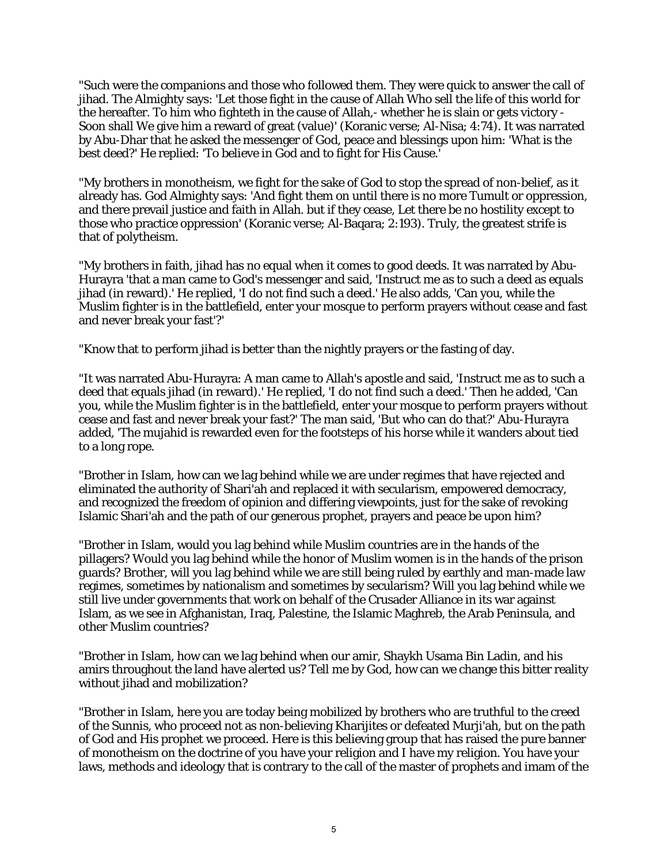"Such were the companions and those who followed them. They were quick to answer the call of jihad. The Almighty says: 'Let those fight in the cause of Allah Who sell the life of this world for the hereafter. To him who fighteth in the cause of Allah,- whether he is slain or gets victory - Soon shall We give him a reward of great (value)' (Koranic verse; Al-Nisa; 4:74). It was narrated by Abu-Dhar that he asked the messenger of God, peace and blessings upon him: 'What is the best deed?' He replied: 'To believe in God and to fight for His Cause.'

"My brothers in monotheism, we fight for the sake of God to stop the spread of non-belief, as it already has. God Almighty says: 'And fight them on until there is no more Tumult or oppression, and there prevail justice and faith in Allah. but if they cease, Let there be no hostility except to those who practice oppression' (Koranic verse; Al-Baqara; 2:193). Truly, the greatest strife is that of polytheism.

"My brothers in faith, jihad has no equal when it comes to good deeds. It was narrated by Abu-Hurayra 'that a man came to God's messenger and said, 'Instruct me as to such a deed as equals jihad (in reward).' He replied, 'I do not find such a deed.' He also adds, 'Can you, while the Muslim fighter is in the battlefield, enter your mosque to perform prayers without cease and fast and never break your fast'?'

"Know that to perform jihad is better than the nightly prayers or the fasting of day.

"It was narrated Abu-Hurayra: A man came to Allah's apostle and said, 'Instruct me as to such a deed that equals jihad (in reward).' He replied, 'I do not find such a deed.' Then he added, 'Can you, while the Muslim fighter is in the battlefield, enter your mosque to perform prayers without cease and fast and never break your fast?' The man said, 'But who can do that?' Abu-Hurayra added, 'The mujahid is rewarded even for the footsteps of his horse while it wanders about tied to a long rope.

"Brother in Islam, how can we lag behind while we are under regimes that have rejected and eliminated the authority of Shari'ah and replaced it with secularism, empowered democracy, and recognized the freedom of opinion and differing viewpoints, just for the sake of revoking Islamic Shari'ah and the path of our generous prophet, prayers and peace be upon him?

"Brother in Islam, would you lag behind while Muslim countries are in the hands of the pillagers? Would you lag behind while the honor of Muslim women is in the hands of the prison guards? Brother, will you lag behind while we are still being ruled by earthly and man-made law regimes, sometimes by nationalism and sometimes by secularism? Will you lag behind while we still live under governments that work on behalf of the Crusader Alliance in its war against Islam, as we see in Afghanistan, Iraq, Palestine, the Islamic Maghreb, the Arab Peninsula, and other Muslim countries?

"Brother in Islam, how can we lag behind when our amir, Shaykh Usama Bin Ladin, and his amirs throughout the land have alerted us? Tell me by God, how can we change this bitter reality without jihad and mobilization?

"Brother in Islam, here you are today being mobilized by brothers who are truthful to the creed of the Sunnis, who proceed not as non-believing Kharijites or defeated Murji'ah, but on the path of God and His prophet we proceed. Here is this believing group that has raised the pure banner of monotheism on the doctrine of you have your religion and I have my religion. You have your laws, methods and ideology that is contrary to the call of the master of prophets and imam of the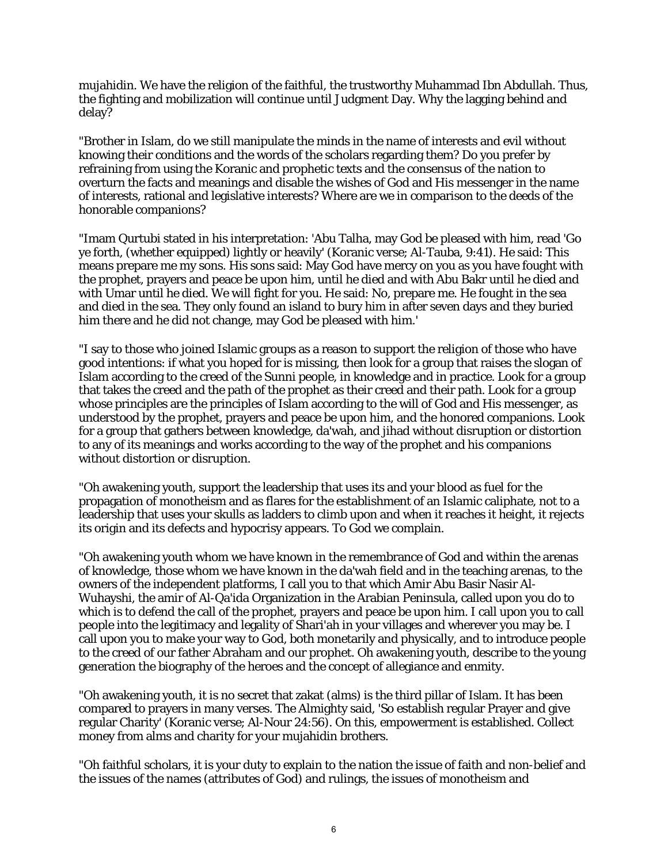mujahidin. We have the religion of the faithful, the trustworthy Muhammad Ibn Abdullah. Thus, the fighting and mobilization will continue until Judgment Day. Why the lagging behind and delay?

"Brother in Islam, do we still manipulate the minds in the name of interests and evil without knowing their conditions and the words of the scholars regarding them? Do you prefer by refraining from using the Koranic and prophetic texts and the consensus of the nation to overturn the facts and meanings and disable the wishes of God and His messenger in the name of interests, rational and legislative interests? Where are we in comparison to the deeds of the honorable companions?

"Imam Qurtubi stated in his interpretation: 'Abu Talha, may God be pleased with him, read 'Go ye forth, (whether equipped) lightly or heavily' (Koranic verse; Al-Tauba, 9:41). He said: This means prepare me my sons. His sons said: May God have mercy on you as you have fought with the prophet, prayers and peace be upon him, until he died and with Abu Bakr until he died and with Umar until he died. We will fight for you. He said: No, prepare me. He fought in the sea and died in the sea. They only found an island to bury him in after seven days and they buried him there and he did not change, may God be pleased with him.'

"I say to those who joined Islamic groups as a reason to support the religion of those who have good intentions: if what you hoped for is missing, then look for a group that raises the slogan of Islam according to the creed of the Sunni people, in knowledge and in practice. Look for a group that takes the creed and the path of the prophet as their creed and their path. Look for a group whose principles are the principles of Islam according to the will of God and His messenger, as understood by the prophet, prayers and peace be upon him, and the honored companions. Look for a group that gathers between knowledge, da'wah, and jihad without disruption or distortion to any of its meanings and works according to the way of the prophet and his companions without distortion or disruption.

"Oh awakening youth, support the leadership that uses its and your blood as fuel for the propagation of monotheism and as flares for the establishment of an Islamic caliphate, not to a leadership that uses your skulls as ladders to climb upon and when it reaches it height, it rejects its origin and its defects and hypocrisy appears. To God we complain.

"Oh awakening youth whom we have known in the remembrance of God and within the arenas of knowledge, those whom we have known in the da'wah field and in the teaching arenas, to the owners of the independent platforms, I call you to that which Amir Abu Basir Nasir Al-Wuhayshi, the amir of Al-Qa'ida Organization in the Arabian Peninsula, called upon you do to which is to defend the call of the prophet, prayers and peace be upon him. I call upon you to call people into the legitimacy and legality of Shari'ah in your villages and wherever you may be. I call upon you to make your way to God, both monetarily and physically, and to introduce people to the creed of our father Abraham and our prophet. Oh awakening youth, describe to the young generation the biography of the heroes and the concept of allegiance and enmity.

"Oh awakening youth, it is no secret that zakat (alms) is the third pillar of Islam. It has been compared to prayers in many verses. The Almighty said, 'So establish regular Prayer and give regular Charity' (Koranic verse; Al-Nour 24:56). On this, empowerment is established. Collect money from alms and charity for your mujahidin brothers.

"Oh faithful scholars, it is your duty to explain to the nation the issue of faith and non-belief and the issues of the names (attributes of God) and rulings, the issues of monotheism and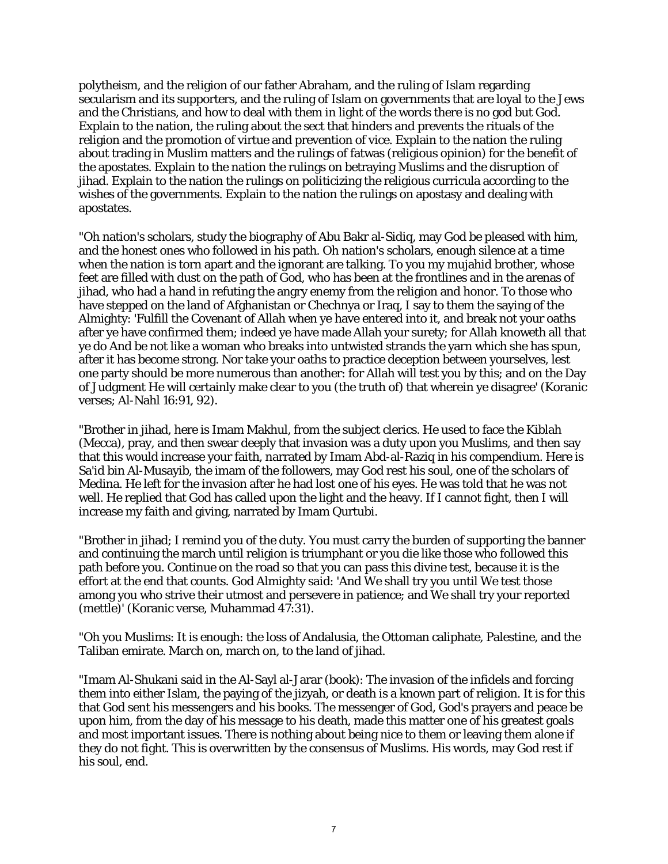polytheism, and the religion of our father Abraham, and the ruling of Islam regarding secularism and its supporters, and the ruling of Islam on governments that are loyal to the Jews and the Christians, and how to deal with them in light of the words there is no god but God. Explain to the nation, the ruling about the sect that hinders and prevents the rituals of the religion and the promotion of virtue and prevention of vice. Explain to the nation the ruling about trading in Muslim matters and the rulings of fatwas (religious opinion) for the benefit of the apostates. Explain to the nation the rulings on betraying Muslims and the disruption of jihad. Explain to the nation the rulings on politicizing the religious curricula according to the wishes of the governments. Explain to the nation the rulings on apostasy and dealing with apostates.

"Oh nation's scholars, study the biography of Abu Bakr al-Sidiq, may God be pleased with him, and the honest ones who followed in his path. Oh nation's scholars, enough silence at a time when the nation is torn apart and the ignorant are talking. To you my mujahid brother, whose feet are filled with dust on the path of God, who has been at the frontlines and in the arenas of jihad, who had a hand in refuting the angry enemy from the religion and honor. To those who have stepped on the land of Afghanistan or Chechnya or Iraq, I say to them the saying of the Almighty: 'Fulfill the Covenant of Allah when ye have entered into it, and break not your oaths after ye have confirmed them; indeed ye have made Allah your surety; for Allah knoweth all that ye do And be not like a woman who breaks into untwisted strands the yarn which she has spun, after it has become strong. Nor take your oaths to practice deception between yourselves, lest one party should be more numerous than another: for Allah will test you by this; and on the Day of Judgment He will certainly make clear to you (the truth of) that wherein ye disagree' (Koranic verses; Al-Nahl 16:91, 92).

"Brother in jihad, here is Imam Makhul, from the subject clerics. He used to face the Kiblah (Mecca), pray, and then swear deeply that invasion was a duty upon you Muslims, and then say that this would increase your faith, narrated by Imam Abd-al-Raziq in his compendium. Here is Sa'id bin Al-Musayib, the imam of the followers, may God rest his soul, one of the scholars of Medina. He left for the invasion after he had lost one of his eyes. He was told that he was not well. He replied that God has called upon the light and the heavy. If I cannot fight, then I will increase my faith and giving, narrated by Imam Qurtubi.

"Brother in jihad; I remind you of the duty. You must carry the burden of supporting the banner and continuing the march until religion is triumphant or you die like those who followed this path before you. Continue on the road so that you can pass this divine test, because it is the effort at the end that counts. God Almighty said: 'And We shall try you until We test those among you who strive their utmost and persevere in patience; and We shall try your reported (mettle)' (Koranic verse, Muhammad 47:31).

"Oh you Muslims: It is enough: the loss of Andalusia, the Ottoman caliphate, Palestine, and the Taliban emirate. March on, march on, to the land of jihad.

"Imam Al-Shukani said in the Al-Sayl al-Jarar (book): The invasion of the infidels and forcing them into either Islam, the paying of the jizyah, or death is a known part of religion. It is for this that God sent his messengers and his books. The messenger of God, God's prayers and peace be upon him, from the day of his message to his death, made this matter one of his greatest goals and most important issues. There is nothing about being nice to them or leaving them alone if they do not fight. This is overwritten by the consensus of Muslims. His words, may God rest if his soul, end.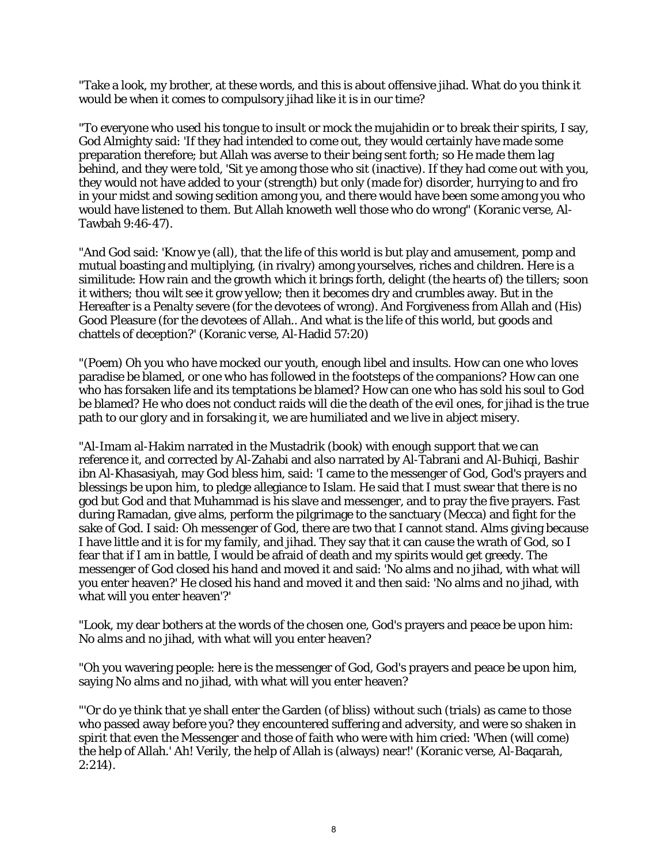"Take a look, my brother, at these words, and this is about offensive jihad. What do you think it would be when it comes to compulsory jihad like it is in our time?

"To everyone who used his tongue to insult or mock the mujahidin or to break their spirits, I say, God Almighty said: 'If they had intended to come out, they would certainly have made some preparation therefore; but Allah was averse to their being sent forth; so He made them lag behind, and they were told, 'Sit ye among those who sit (inactive). If they had come out with you, they would not have added to your (strength) but only (made for) disorder, hurrying to and fro in your midst and sowing sedition among you, and there would have been some among you who would have listened to them. But Allah knoweth well those who do wrong" (Koranic verse, Al-Tawbah 9:46-47).

"And God said: 'Know ye (all), that the life of this world is but play and amusement, pomp and mutual boasting and multiplying, (in rivalry) among yourselves, riches and children. Here is a similitude: How rain and the growth which it brings forth, delight (the hearts of) the tillers; soon it withers; thou wilt see it grow yellow; then it becomes dry and crumbles away. But in the Hereafter is a Penalty severe (for the devotees of wrong). And Forgiveness from Allah and (His) Good Pleasure (for the devotees of Allah.. And what is the life of this world, but goods and chattels of deception?' (Koranic verse, Al-Hadid 57:20)

"(Poem) Oh you who have mocked our youth, enough libel and insults. How can one who loves paradise be blamed, or one who has followed in the footsteps of the companions? How can one who has forsaken life and its temptations be blamed? How can one who has sold his soul to God be blamed? He who does not conduct raids will die the death of the evil ones, for jihad is the true path to our glory and in forsaking it, we are humiliated and we live in abject misery.

"Al-Imam al-Hakim narrated in the Mustadrik (book) with enough support that we can reference it, and corrected by Al-Zahabi and also narrated by Al-Tabrani and Al-Buhiqi, Bashir ibn Al-Khasasiyah, may God bless him, said: 'I came to the messenger of God, God's prayers and blessings be upon him, to pledge allegiance to Islam. He said that I must swear that there is no god but God and that Muhammad is his slave and messenger, and to pray the five prayers. Fast during Ramadan, give alms, perform the pilgrimage to the sanctuary (Mecca) and fight for the sake of God. I said: Oh messenger of God, there are two that I cannot stand. Alms giving because I have little and it is for my family, and jihad. They say that it can cause the wrath of God, so I fear that if I am in battle, I would be afraid of death and my spirits would get greedy. The messenger of God closed his hand and moved it and said: 'No alms and no jihad, with what will you enter heaven?' He closed his hand and moved it and then said: 'No alms and no jihad, with what will you enter heaven'?'

"Look, my dear bothers at the words of the chosen one, God's prayers and peace be upon him: No alms and no jihad, with what will you enter heaven?

"Oh you wavering people: here is the messenger of God, God's prayers and peace be upon him, saying No alms and no jihad, with what will you enter heaven?

"'Or do ye think that ye shall enter the Garden (of bliss) without such (trials) as came to those who passed away before you? they encountered suffering and adversity, and were so shaken in spirit that even the Messenger and those of faith who were with him cried: 'When (will come) the help of Allah.' Ah! Verily, the help of Allah is (always) near!' (Koranic verse, Al-Baqarah,  $2:214$ ).